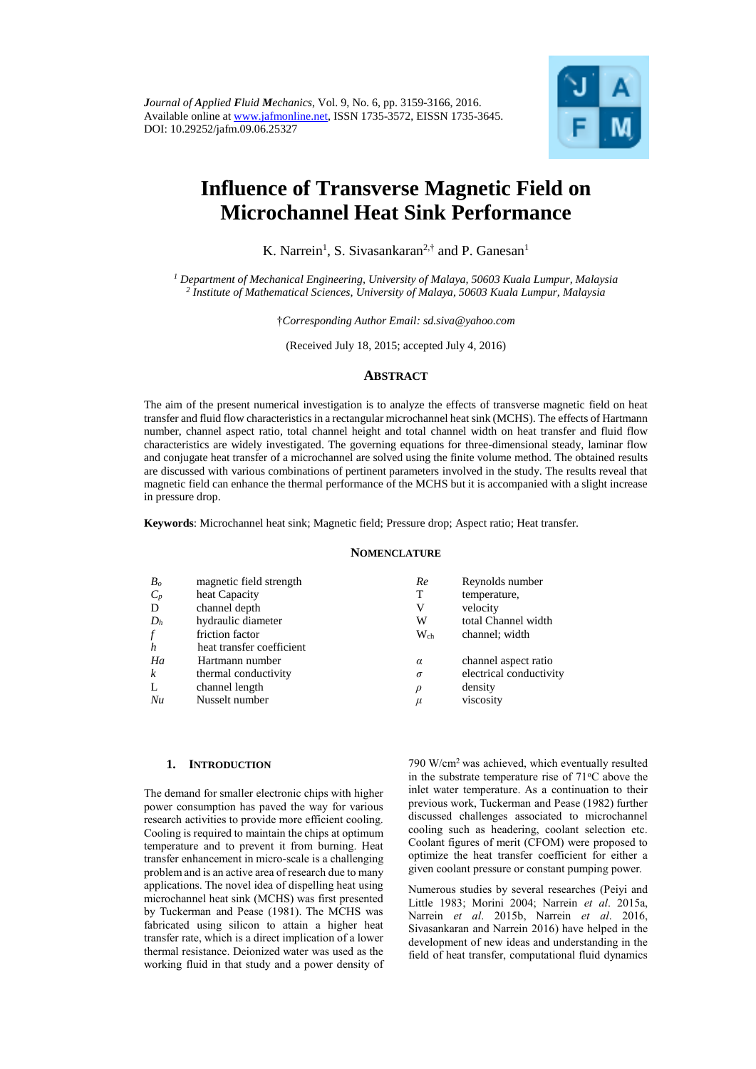*Journal of Applied Fluid Mechanics*, Vol. 9, No. 6, pp. 3159-3166, 2016. Available online at [www.jafmonline.net,](http://www.jafmonline.net/) ISSN 1735-3572, EISSN 1735-3645. DOI: 10.29252/jafm.09.06.25327



# **Influence of Transverse Magnetic Field on Microchannel Heat Sink Performance**

K. Narrein<sup>1</sup>, S. Sivasankaran<sup>2,†</sup> and P. Ganesan<sup>1</sup>

*<sup>1</sup> Department of Mechanical Engineering, University of Malaya, 50603 Kuala Lumpur, Malaysia 2 Institute of Mathematical Sciences, University of Malaya, 50603 Kuala Lumpur, Malaysia*

†*Corresponding Author Email: sd.siva@yahoo.com*

(Received July 18, 2015; accepted July 4, 2016)

# **ABSTRACT**

The aim of the present numerical investigation is to analyze the effects of transverse magnetic field on heat transfer and fluid flow characteristics in a rectangular microchannel heat sink (MCHS). The effects of Hartmann number, channel aspect ratio, total channel height and total channel width on heat transfer and fluid flow characteristics are widely investigated. The governing equations for three-dimensional steady, laminar flow and conjugate heat transfer of a microchannel are solved using the finite volume method. The obtained results are discussed with various combinations of pertinent parameters involved in the study. The results reveal that magnetic field can enhance the thermal performance of the MCHS but it is accompanied with a slight increase in pressure drop.

**Keywords**: Microchannel heat sink; Magnetic field; Pressure drop; Aspect ratio; Heat transfer.

# **NOMENCLATURE**

| B <sub>o</sub> | magnetic field strength   | Re       | Reynolds number         |
|----------------|---------------------------|----------|-------------------------|
| $C_p$          | heat Capacity             | Т        | temperature,            |
| D              | channel depth             | V        | velocity                |
| $D_h$          | hydraulic diameter        | W        | total Channel width     |
|                | friction factor           | $W_{ch}$ | channel; width          |
| h              | heat transfer coefficient |          |                         |
| Ha             | Hartmann number           | $\alpha$ | channel aspect ratio    |
| k              | thermal conductivity      | $\sigma$ | electrical conductivity |
|                | channel length            | $\rho$   | density                 |
| Nu             | Nusselt number            | μ        | viscosity               |
|                |                           |          |                         |

#### **1. INTRODUCTION**

The demand for smaller electronic chips with higher power consumption has paved the way for various research activities to provide more efficient cooling. Cooling is required to maintain the chips at optimum temperature and to prevent it from burning. Heat transfer enhancement in micro-scale is a challenging problem and is an active area of research due to many applications. The novel idea of dispelling heat using microchannel heat sink (MCHS) was first presented by Tuckerman and Pease (1981). The MCHS was fabricated using silicon to attain a higher heat transfer rate, which is a direct implication of a lower thermal resistance. Deionized water was used as the working fluid in that study and a power density of

790 W/cm<sup>2</sup>was achieved, which eventually resulted in the substrate temperature rise of  $71^{\circ}$ C above the inlet water temperature. As a continuation to their previous work, Tuckerman and Pease (1982) further discussed challenges associated to microchannel cooling such as headering, coolant selection etc. Coolant figures of merit (CFOM) were proposed to optimize the heat transfer coefficient for either a given coolant pressure or constant pumping power.

Numerous studies by several researches (Peiyi and Little 1983; Morini 2004; Narrein *et al*. 2015a, Narrein *et al*. 2015b, Narrein *et al*. 2016, Sivasankaran and Narrein 2016) have helped in the development of new ideas and understanding in the field of heat transfer, computational fluid dynamics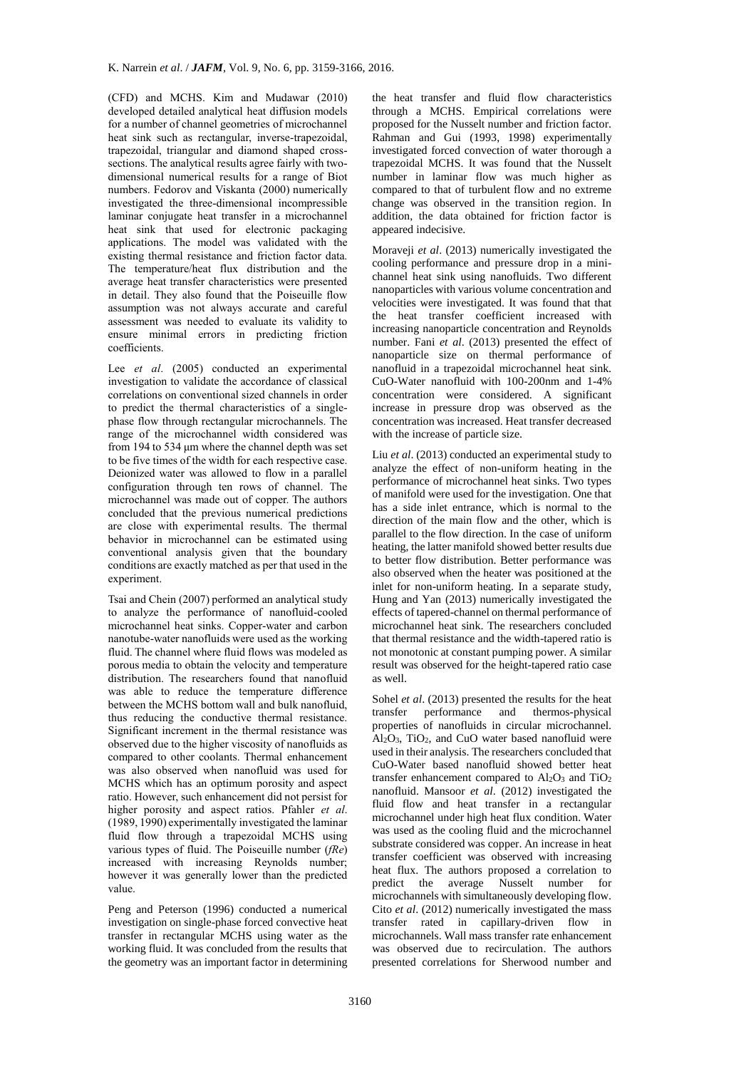(CFD) and MCHS. Kim and Mudawar (2010) developed detailed analytical heat diffusion models for a number of channel geometries of microchannel heat sink such as rectangular, inverse-trapezoidal, trapezoidal, triangular and diamond shaped crosssections. The analytical results agree fairly with twodimensional numerical results for a range of Biot numbers. Fedorov and Viskanta (2000) numerically investigated the three-dimensional incompressible laminar conjugate heat transfer in a microchannel heat sink that used for electronic packaging applications. The model was validated with the existing thermal resistance and friction factor data. The temperature/heat flux distribution and the average heat transfer characteristics were presented in detail. They also found that the Poiseuille flow assumption was not always accurate and careful assessment was needed to evaluate its validity to ensure minimal errors in predicting friction coefficients.

Lee *et al.* (2005) conducted an experimental investigation to validate the accordance of classical correlations on conventional sized channels in order to predict the thermal characteristics of a singlephase flow through rectangular microchannels. The range of the microchannel width considered was from 194 to 534 μm where the channel depth was set to be five times of the width for each respective case. Deionized water was allowed to flow in a parallel configuration through ten rows of channel. The microchannel was made out of copper. The authors concluded that the previous numerical predictions are close with experimental results. The thermal behavior in microchannel can be estimated using conventional analysis given that the boundary conditions are exactly matched as per that used in the experiment.

Tsai and Chein (2007) performed an analytical study to analyze the performance of nanofluid-cooled microchannel heat sinks. Copper-water and carbon nanotube-water nanofluids were used as the working fluid. The channel where fluid flows was modeled as porous media to obtain the velocity and temperature distribution. The researchers found that nanofluid was able to reduce the temperature difference between the MCHS bottom wall and bulk nanofluid, thus reducing the conductive thermal resistance. Significant increment in the thermal resistance was observed due to the higher viscosity of nanofluids as compared to other coolants. Thermal enhancement was also observed when nanofluid was used for MCHS which has an optimum porosity and aspect ratio. However, such enhancement did not persist for higher porosity and aspect ratios. Pfahler *et al*. (1989, 1990) experimentally investigated the laminar fluid flow through a trapezoidal MCHS using various types of fluid. The Poiseuille number (*fRe*) increased with increasing Reynolds number; however it was generally lower than the predicted value.

Peng and Peterson (1996) conducted a numerical investigation on single-phase forced convective heat transfer in rectangular MCHS using water as the working fluid. It was concluded from the results that the geometry was an important factor in determining the heat transfer and fluid flow characteristics through a MCHS. Empirical correlations were proposed for the Nusselt number and friction factor. Rahman and Gui (1993, 1998) experimentally investigated forced convection of water thorough a trapezoidal MCHS. It was found that the Nusselt number in laminar flow was much higher as compared to that of turbulent flow and no extreme change was observed in the transition region. In addition, the data obtained for friction factor is appeared indecisive.

Moraveji *et al*. (2013) numerically investigated the cooling performance and pressure drop in a minichannel heat sink using nanofluids. Two different nanoparticles with various volume concentration and velocities were investigated. It was found that that the heat transfer coefficient increased with increasing nanoparticle concentration and Reynolds number. Fani *et al*. (2013) presented the effect of nanoparticle size on thermal performance of nanofluid in a trapezoidal microchannel heat sink. CuO-Water nanofluid with 100-200nm and 1-4% concentration were considered. A significant increase in pressure drop was observed as the concentration was increased. Heat transfer decreased with the increase of particle size.

Liu *et al*. (2013) conducted an experimental study to analyze the effect of non-uniform heating in the performance of microchannel heat sinks. Two types of manifold were used for the investigation. One that has a side inlet entrance, which is normal to the direction of the main flow and the other, which is parallel to the flow direction. In the case of uniform heating, the latter manifold showed better results due to better flow distribution. Better performance was also observed when the heater was positioned at the inlet for non-uniform heating. In a separate study, Hung and Yan (2013) numerically investigated the effects of tapered-channel on thermal performance of microchannel heat sink. The researchers concluded that thermal resistance and the width-tapered ratio is not monotonic at constant pumping power. A similar result was observed for the height-tapered ratio case as well.

Sohel *et al*. (2013) presented the results for the heat transfer performance and thermos-physical properties of nanofluids in circular microchannel.  $Al_2O_3$ , TiO<sub>2</sub>, and CuO water based nanofluid were used in their analysis. The researchers concluded that CuO-Water based nanofluid showed better heat transfer enhancement compared to  $Al_2O_3$  and  $TiO_2$ nanofluid. Mansoor *et al*. (2012) investigated the fluid flow and heat transfer in a rectangular microchannel under high heat flux condition. Water was used as the cooling fluid and the microchannel substrate considered was copper. An increase in heat transfer coefficient was observed with increasing heat flux. The authors proposed a correlation to predict the average Nusselt number for microchannels with simultaneously developing flow. Cito *et al*. (2012) numerically investigated the mass transfer rated in capillary-driven flow in microchannels. Wall mass transfer rate enhancement was observed due to recirculation. The authors presented correlations for Sherwood number and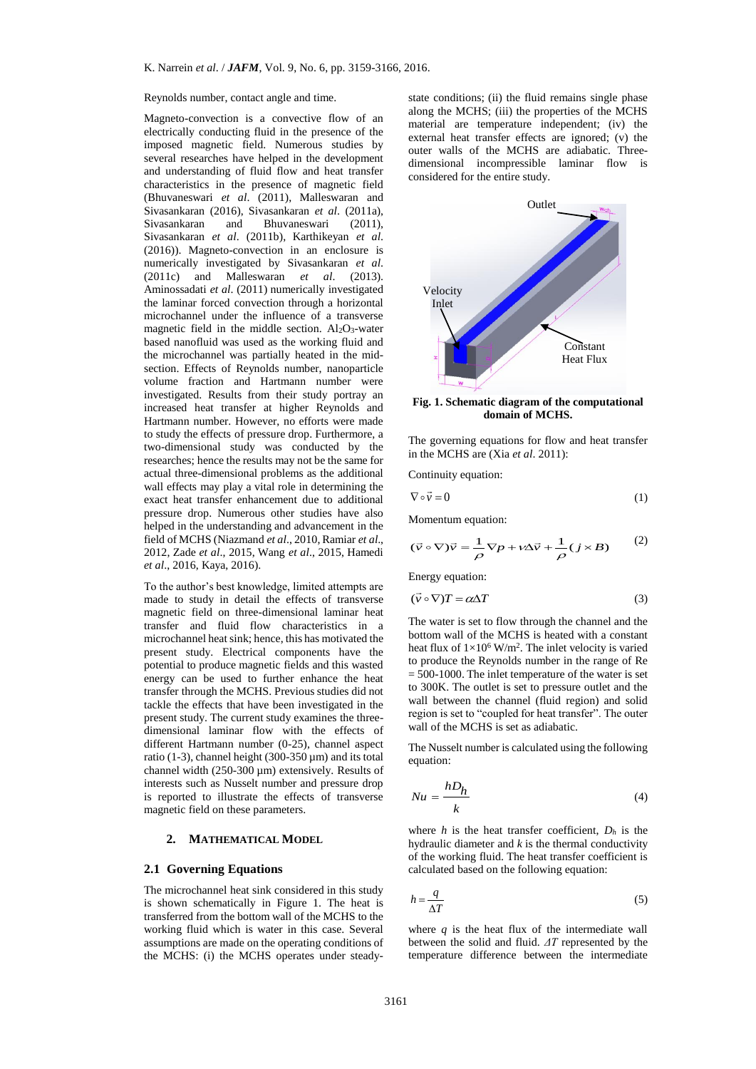#### Reynolds number, contact angle and time.

Magneto-convection is a convective flow of an electrically conducting fluid in the presence of the imposed magnetic field. Numerous studies by several researches have helped in the development and understanding of fluid flow and heat transfer characteristics in the presence of magnetic field (Bhuvaneswari *et al*. (2011), Malleswaran and Sivasankaran (2016), Sivasankaran *et al*. (2011a), Sivasankaran and Bhuvaneswari (2011), Sivasankaran *et al*. (2011b), Karthikeyan *et al*. (2016)). Magneto-convection in an enclosure is numerically investigated by Sivasankaran *et al*. (2011c) and Malleswaran *et al*. (2013). Aminossadati *et al*. (2011) numerically investigated the laminar forced convection through a horizontal microchannel under the influence of a transverse magnetic field in the middle section.  $Al_2O_3$ -water based nanofluid was used as the working fluid and the microchannel was partially heated in the midsection. Effects of Reynolds number, nanoparticle volume fraction and Hartmann number were investigated. Results from their study portray an increased heat transfer at higher Reynolds and Hartmann number. However, no efforts were made to study the effects of pressure drop. Furthermore, a two-dimensional study was conducted by the researches; hence the results may not be the same for actual three-dimensional problems as the additional wall effects may play a vital role in determining the exact heat transfer enhancement due to additional pressure drop. Numerous other studies have also helped in the understanding and advancement in the field of MCHS (Niazmand *et al*., 2010, Ramiar *et al*., 2012, Zade *et al*., 2015, Wang *et al*., 2015, Hamedi *et al*., 2016, Kaya, 2016).

To the author's best knowledge, limited attempts are made to study in detail the effects of transverse magnetic field on three-dimensional laminar heat transfer and fluid flow characteristics in a microchannel heat sink; hence, this has motivated the present study. Electrical components have the potential to produce magnetic fields and this wasted energy can be used to further enhance the heat transfer through the MCHS. Previous studies did not tackle the effects that have been investigated in the present study. The current study examines the threedimensional laminar flow with the effects of different Hartmann number (0-25), channel aspect ratio (1-3), channel height (300-350  $\mu$ m) and its total channel width  $(250-300 \text{ }\mu\text{m})$  extensively. Results of interests such as Nusselt number and pressure drop is reported to illustrate the effects of transverse magnetic field on these parameters.

# **2. MATHEMATICAL MODEL**

# **2.1 Governing Equations**

The microchannel heat sink considered in this study is shown schematically in Figure 1. The heat is transferred from the bottom wall of the MCHS to the working fluid which is water in this case. Several assumptions are made on the operating conditions of the MCHS: (i) the MCHS operates under steadystate conditions; (ii) the fluid remains single phase along the MCHS; (iii) the properties of the MCHS material are temperature independent; (iv) the external heat transfer effects are ignored; (v) the outer walls of the MCHS are adiabatic. Threedimensional incompressible laminar flow is considered for the entire study.



**Fig. 1. Schematic diagram of the computational domain of MCHS.**

The governing equations for flow and heat transfer in the MCHS are (Xia *et al*. 2011):

Continuity equation:

$$
\nabla \circ \vec{v} = 0 \tag{1}
$$

Momentum equation:

$$
(\vec{v} \circ \nabla)\vec{v} = \frac{1}{\rho} \nabla p + \nu \Delta \vec{v} + \frac{1}{\rho} (j \times B)
$$
 (2)

Energy equation:

$$
(\vec{v} \circ \nabla)T = \alpha \Delta T \tag{3}
$$

The water is set to flow through the channel and the bottom wall of the MCHS is heated with a constant heat flux of  $1 \times 10^6$  W/m<sup>2</sup>. The inlet velocity is varied to produce the Reynolds number in the range of Re  $= 500-1000$ . The inlet temperature of the water is set to 300K. The outlet is set to pressure outlet and the wall between the channel (fluid region) and solid region is set to "coupled for heat transfer". The outer wall of the MCHS is set as adiabatic.

The Nusselt number is calculated using the following equation:

$$
Nu = \frac{hD_h}{k} \tag{4}
$$

where *h* is the heat transfer coefficient,  $D_h$  is the hydraulic diameter and *k* is the thermal conductivity of the working fluid. The heat transfer coefficient is calculated based on the following equation:

$$
h = \frac{q}{\Delta T} \tag{5}
$$

where  $q$  is the heat flux of the intermediate wall between the solid and fluid. *ΔT* represented by the temperature difference between the intermediate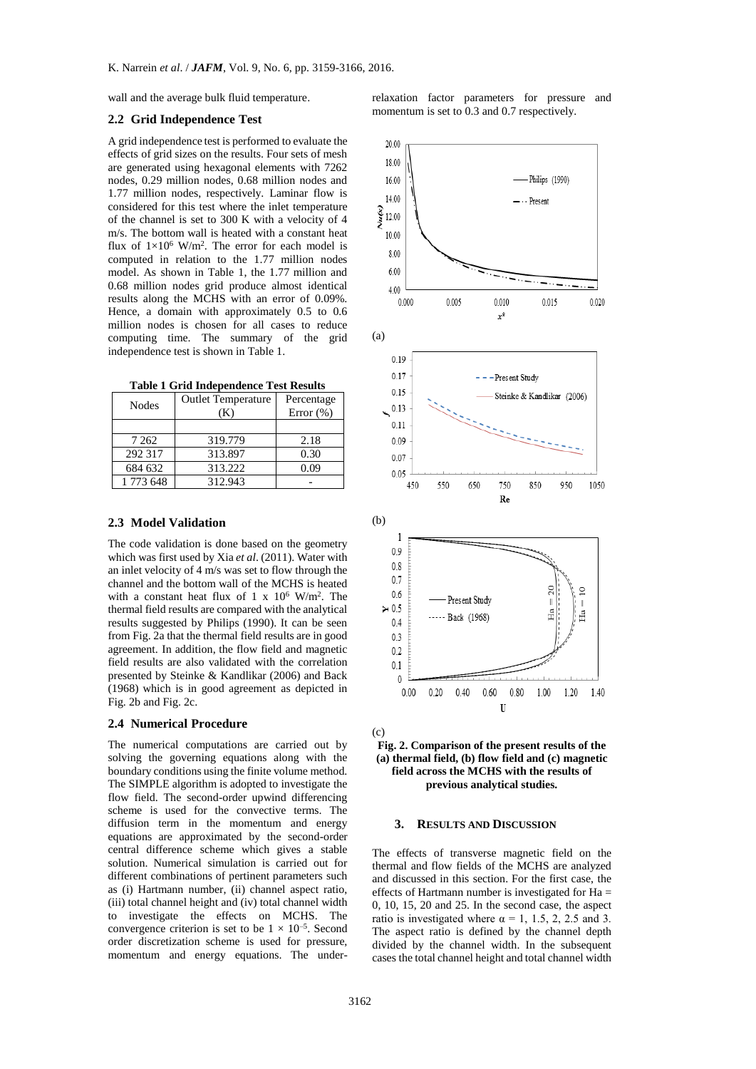wall and the average bulk fluid temperature.

# **2.2 Grid Independence Test**

A grid independence test is performed to evaluate the effects of grid sizes on the results. Four sets of mesh are generated using hexagonal elements with 7262 nodes, 0.29 million nodes, 0.68 million nodes and 1.77 million nodes, respectively. Laminar flow is considered for this test where the inlet temperature of the channel is set to 300 K with a velocity of 4 m/s. The bottom wall is heated with a constant heat flux of  $1 \times 10^6$  W/m<sup>2</sup>. The error for each model is computed in relation to the 1.77 million nodes model. As shown in Table 1, the 1.77 million and 0.68 million nodes grid produce almost identical results along the MCHS with an error of 0.09%. Hence, a domain with approximately 0.5 to 0.6 million nodes is chosen for all cases to reduce computing time. The summary of the grid independence test is shown in Table 1.

|  |  | <b>Table 1 Grid Independence Test Results</b> |  |  |
|--|--|-----------------------------------------------|--|--|
|--|--|-----------------------------------------------|--|--|

| <b>Nodes</b> | <b>Outlet Temperature</b><br>(K) | Percentage<br>Error $(\%)$ |  |
|--------------|----------------------------------|----------------------------|--|
|              |                                  |                            |  |
| 7 2 6 2      | 319.779                          | 2.18                       |  |
| 292 317      | 313.897                          | 0.30                       |  |
| 684 632      | 313.222                          | 0.09                       |  |
| 1 773 648    | 312.943                          |                            |  |

#### **2.3 Model Validation**

The code validation is done based on the geometry which was first used by Xia *et al*. (2011). Water with an inlet velocity of 4 m/s was set to flow through the channel and the bottom wall of the MCHS is heated with a constant heat flux of 1 x  $10^6$  W/m<sup>2</sup>. The thermal field results are compared with the analytical results suggested by Philips (1990). It can be seen from Fig. 2a that the thermal field results are in good agreement. In addition, the flow field and magnetic field results are also validated with the correlation presented by Steinke & Kandlikar (2006) and Back (1968) which is in good agreement as depicted in Fig. 2b and Fig. 2c.

# **2.4 Numerical Procedure**

The numerical computations are carried out by solving the governing equations along with the boundary conditions using the finite volume method. The SIMPLE algorithm is adopted to investigate the flow field. The second-order upwind differencing scheme is used for the convective terms. The diffusion term in the momentum and energy equations are approximated by the second-order central difference scheme which gives a stable solution. Numerical simulation is carried out for different combinations of pertinent parameters such as (i) Hartmann number, (ii) channel aspect ratio, (iii) total channel height and (iv) total channel width to investigate the effects on MCHS. The convergence criterion is set to be  $1 \times 10^{-5}$ . Second order discretization scheme is used for pressure, momentum and energy equations. The underrelaxation factor parameters for pressure and momentum is set to 0.3 and 0.7 respectively.





#### **3. RESULTS AND DISCUSSION**

The effects of transverse magnetic field on the thermal and flow fields of the MCHS are analyzed and discussed in this section. For the first case, the effects of Hartmann number is investigated for  $Ha =$ 0, 10, 15, 20 and 25. In the second case, the aspect ratio is investigated where  $\alpha = 1, 1.5, 2, 2.5$  and 3. The aspect ratio is defined by the channel depth divided by the channel width. In the subsequent cases the total channel height and total channel width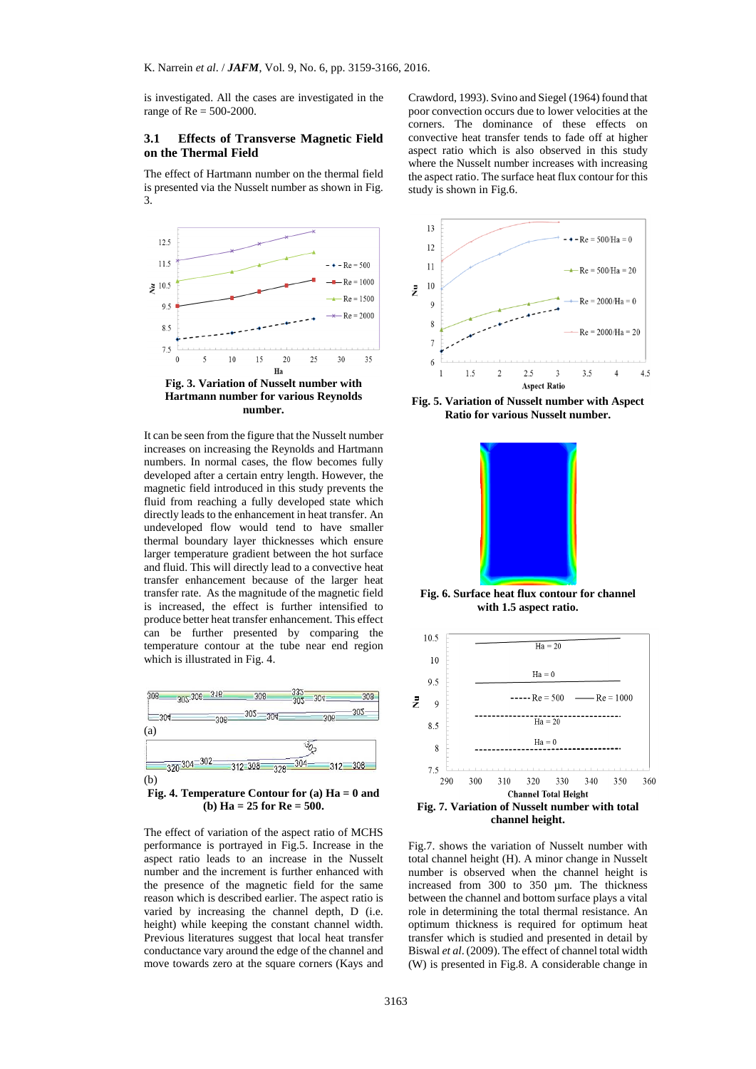is investigated. All the cases are investigated in the range of Re = 500-2000.

# **3.1 Effects of Transverse Magnetic Field on the Thermal Field**

The effect of Hartmann number on the thermal field is presented via the Nusselt number as shown in Fig. 3.



It can be seen from the figure that the Nusselt number increases on increasing the Reynolds and Hartmann numbers. In normal cases, the flow becomes fully developed after a certain entry length. However, the magnetic field introduced in this study prevents the fluid from reaching a fully developed state which directly leads to the enhancement in heat transfer. An undeveloped flow would tend to have smaller thermal boundary layer thicknesses which ensure larger temperature gradient between the hot surface and fluid. This will directly lead to a convective heat transfer enhancement because of the larger heat transfer rate. As the magnitude of the magnetic field is increased, the effect is further intensified to produce better heat transfer enhancement. This effect can be further presented by comparing the temperature contour at the tube near end region which is illustrated in Fig. 4.



**Fig. 4. Temperature Contour for (a) Ha = 0 and (b) Ha = 25 for Re = 500.**

The effect of variation of the aspect ratio of MCHS performance is portrayed in Fig.5. Increase in the aspect ratio leads to an increase in the Nusselt number and the increment is further enhanced with the presence of the magnetic field for the same reason which is described earlier. The aspect ratio is varied by increasing the channel depth, D (i.e. height) while keeping the constant channel width. Previous literatures suggest that local heat transfer conductance vary around the edge of the channel and move towards zero at the square corners (Kays and

Crawdord, 1993). Svino and Siegel (1964) found that poor convection occurs due to lower velocities at the corners. The dominance of these effects on convective heat transfer tends to fade off at higher aspect ratio which is also observed in this study where the Nusselt number increases with increasing the aspect ratio. The surface heat flux contour for this study is shown in Fig.6.



**Fig. 5. Variation of Nusselt number with Aspect Ratio for various Nusselt number.**



**Fig. 6. Surface heat flux contour for channel with 1.5 aspect ratio.**



Fig.7. shows the variation of Nusselt number with total channel height (H). A minor change in Nusselt number is observed when the channel height is increased from 300 to 350 µm. The thickness between the channel and bottom surface plays a vital role in determining the total thermal resistance. An optimum thickness is required for optimum heat transfer which is studied and presented in detail by Biswal *et al*. (2009). The effect of channel total width (W) is presented in Fig.8. A considerable change in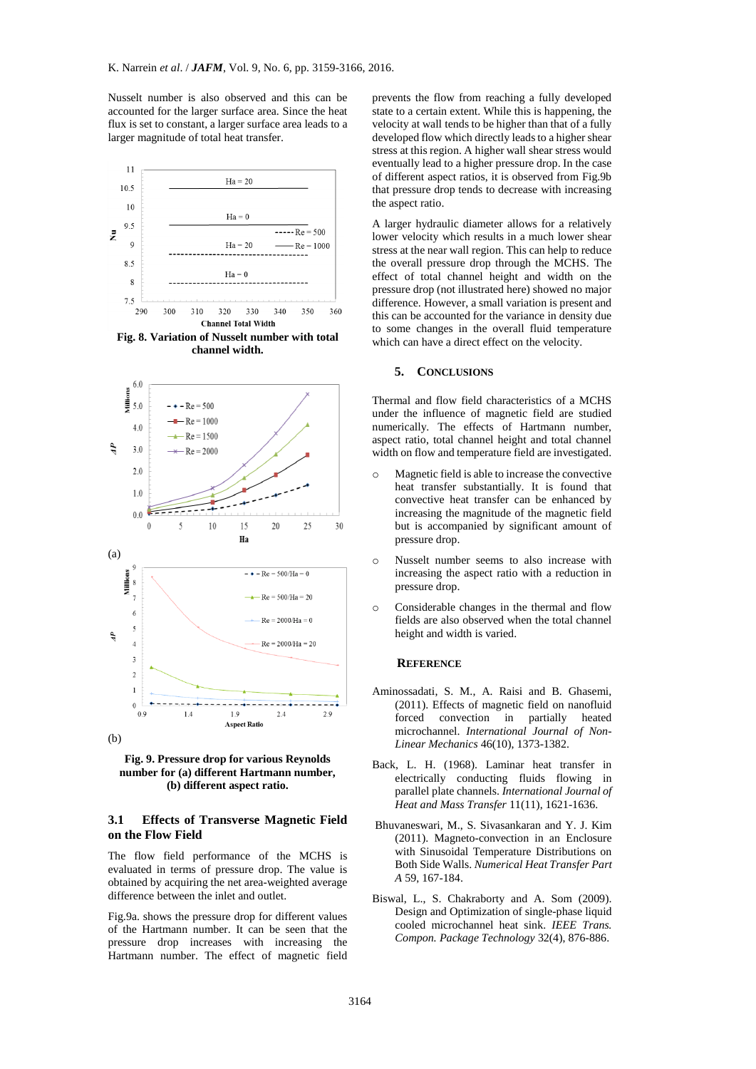Nusselt number is also observed and this can be accounted for the larger surface area. Since the heat flux is set to constant, a larger surface area leads to a larger magnitude of total heat transfer.



**Fig. 8. Variation of Nusselt number with total channel width.**





# **3.1 Effects of Transverse Magnetic Field on the Flow Field**

The flow field performance of the MCHS is evaluated in terms of pressure drop. The value is obtained by acquiring the net area-weighted average difference between the inlet and outlet.

Fig.9a. shows the pressure drop for different values of the Hartmann number. It can be seen that the pressure drop increases with increasing the Hartmann number. The effect of magnetic field prevents the flow from reaching a fully developed state to a certain extent. While this is happening, the velocity at wall tends to be higher than that of a fully developed flow which directly leads to a higher shear stress at this region. A higher wall shear stress would eventually lead to a higher pressure drop. In the case of different aspect ratios, it is observed from Fig.9b that pressure drop tends to decrease with increasing the aspect ratio.

A larger hydraulic diameter allows for a relatively lower velocity which results in a much lower shear stress at the near wall region. This can help to reduce the overall pressure drop through the MCHS. The effect of total channel height and width on the pressure drop (not illustrated here) showed no major difference. However, a small variation is present and this can be accounted for the variance in density due to some changes in the overall fluid temperature which can have a direct effect on the velocity.

# **5. CONCLUSIONS**

Thermal and flow field characteristics of a MCHS under the influence of magnetic field are studied numerically. The effects of Hartmann number, aspect ratio, total channel height and total channel width on flow and temperature field are investigated.

- o Magnetic field is able to increase the convective heat transfer substantially. It is found that convective heat transfer can be enhanced by increasing the magnitude of the magnetic field but is accompanied by significant amount of pressure drop.
- o Nusselt number seems to also increase with increasing the aspect ratio with a reduction in pressure drop.
- o Considerable changes in the thermal and flow fields are also observed when the total channel height and width is varied.

# **REFERENCE**

- Aminossadati, S. M., A. Raisi and B. Ghasemi, (2011). Effects of magnetic field on nanofluid forced convection in partially heated microchannel. *International Journal of Non-Linear Mechanics* 46(10), 1373-1382.
- Back, L. H. (1968). Laminar heat transfer in electrically conducting fluids flowing in parallel plate channels. *International Journal of Heat and Mass Transfer* 11(11), 1621-1636.
- Bhuvaneswari, M., S. Sivasankaran and Y. J. Kim (2011). Magneto-convection in an Enclosure with Sinusoidal Temperature Distributions on Both Side Walls. *Numerical Heat Transfer Part A* 59, 167-184.
- Biswal, L., S. Chakraborty and A. Som (2009). Design and Optimization of single-phase liquid cooled microchannel heat sink. *IEEE Trans. Compon. Package Technology* 32(4), 876-886.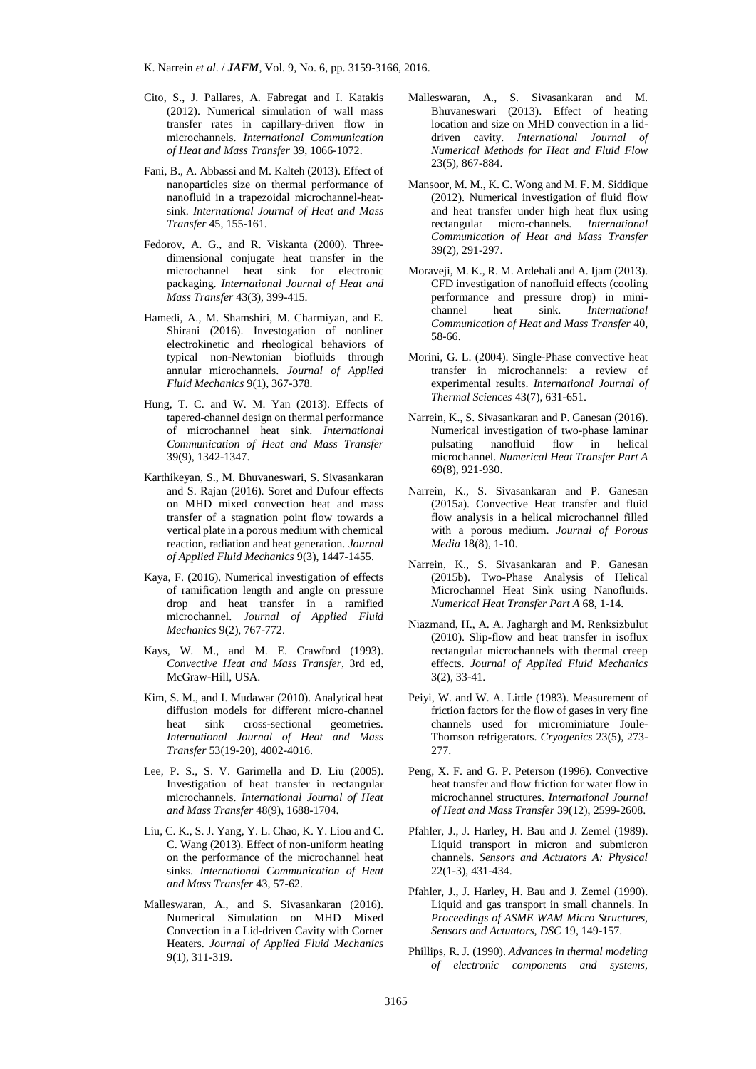- Cito, S., J. Pallares, A. Fabregat and I. Katakis (2012). Numerical simulation of wall mass transfer rates in capillary-driven flow in microchannels. *International Communication of Heat and Mass Transfer* 39, 1066-1072.
- Fani, B., A. Abbassi and M. Kalteh (2013). Effect of nanoparticles size on thermal performance of nanofluid in a trapezoidal microchannel-heatsink. *International Journal of Heat and Mass Transfer* 45, 155-161.
- Fedorov, A. G., and R. Viskanta (2000). Threedimensional conjugate heat transfer in the microchannel heat sink for electronic packaging. *International Journal of Heat and Mass Transfer* 43(3), 399-415.
- Hamedi, A., M. Shamshiri, M. Charmiyan, and E. Shirani (2016). Investogation of nonliner electrokinetic and rheological behaviors of typical non-Newtonian biofluids through annular microchannels. *Journal of Applied Fluid Mechanics* 9(1), 367-378.
- Hung, T. C. and W. M. Yan (2013). Effects of tapered-channel design on thermal performance of microchannel heat sink. *International Communication of Heat and Mass Transfer* 39(9), 1342-1347.
- Karthikeyan, S., M. Bhuvaneswari, S. Sivasankaran and S. Rajan (2016). Soret and Dufour effects on MHD mixed convection heat and mass transfer of a stagnation point flow towards a vertical plate in a porous medium with chemical reaction, radiation and heat generation. *Journal of Applied Fluid Mechanics* 9(3), 1447-1455.
- Kaya, F. (2016). Numerical investigation of effects of ramification length and angle on pressure drop and heat transfer in a ramified microchannel. *Journal of Applied Fluid Mechanics* 9(2), 767-772.
- Kays, W. M., and M. E. Crawford (1993). *Convective Heat and Mass Transfer*, 3rd ed, McGraw-Hill, USA.
- Kim, S. M., and I. Mudawar (2010). Analytical heat diffusion models for different micro-channel<br>heat sink cross-sectional geometries. heat sink cross-sectional *International Journal of Heat and Mass Transfer* 53(19-20), 4002-4016.
- Lee, P. S., S. V. Garimella and D. Liu (2005). Investigation of heat transfer in rectangular microchannels. *International Journal of Heat and Mass Transfer* 48(9), 1688-1704.
- Liu, C. K., S. J. Yang, Y. L. Chao, K. Y. Liou and C. C. Wang (2013). Effect of non-uniform heating on the performance of the microchannel heat sinks. *International Communication of Heat and Mass Transfer* 43, 57-62.
- Malleswaran, A., and S. Sivasankaran (2016). Numerical Simulation on MHD Mixed Convection in a Lid-driven Cavity with Corner Heaters. *Journal of Applied Fluid Mechanics* 9(1), 311-319.
- Malleswaran, A., S. Sivasankaran and M. Bhuvaneswari (2013). Effect of heating location and size on MHD convection in a liddriven cavity. *International Journal of Numerical Methods for Heat and Fluid Flow* 23(5), 867-884.
- Mansoor, M. M., K. C. Wong and M. F. M. Siddique (2012). Numerical investigation of fluid flow and heat transfer under high heat flux using rectangular micro-channels. *International Communication of Heat and Mass Transfer* 39(2), 291-297.
- Moraveji, M. K., R. M. Ardehali and A. Ijam (2013). CFD investigation of nanofluid effects (cooling performance and pressure drop) in minichannel heat sink. *International Communication of Heat and Mass Transfer* 40, 58-66.
- Morini, G. L. (2004). Single-Phase convective heat transfer in microchannels: a review of experimental results. *International Journal of Thermal Sciences* 43(7), 631-651.
- Narrein, K., S. Sivasankaran and P. Ganesan (2016). Numerical investigation of two-phase laminar pulsating nanofluid flow in helical microchannel. *Numerical Heat Transfer Part A* 69(8), 921-930.
- Narrein, K., S. Sivasankaran and P. Ganesan (2015a). Convective Heat transfer and fluid flow analysis in a helical microchannel filled with a porous medium. *Journal of Porous Media* 18(8), 1-10.
- Narrein, K., S. Sivasankaran and P. Ganesan (2015b). Two-Phase Analysis of Helical Microchannel Heat Sink using Nanofluids. *Numerical Heat Transfer Part A* 68, 1-14.
- Niazmand, H., A. A. Jaghargh and M. Renksizbulut (2010). Slip-flow and heat transfer in isoflux rectangular microchannels with thermal creep effects. *Journal of Applied Fluid Mechanics* 3(2), 33-41.
- Peiyi, W. and W. A. Little (1983). Measurement of friction factors for the flow of gases in very fine channels used for microminiature Joule-Thomson refrigerators. *Cryogenics* 23(5), 273- 277.
- Peng, X. F. and G. P. Peterson (1996). Convective heat transfer and flow friction for water flow in microchannel structures. *International Journal of Heat and Mass Transfer* 39(12), 2599-2608.
- Pfahler, J., J. Harley, H. Bau and J. Zemel (1989). Liquid transport in micron and submicron channels. *Sensors and Actuators A: Physical* 22(1-3), 431-434.
- Pfahler, J., J. Harley, H. Bau and J. Zemel (1990). Liquid and gas transport in small channels. In *Proceedings of ASME WAM Micro Structures, Sensors and Actuators, DSC* 19, 149-157.
- Phillips, R. J. (1990). *Advances in thermal modeling of electronic components and systems,*